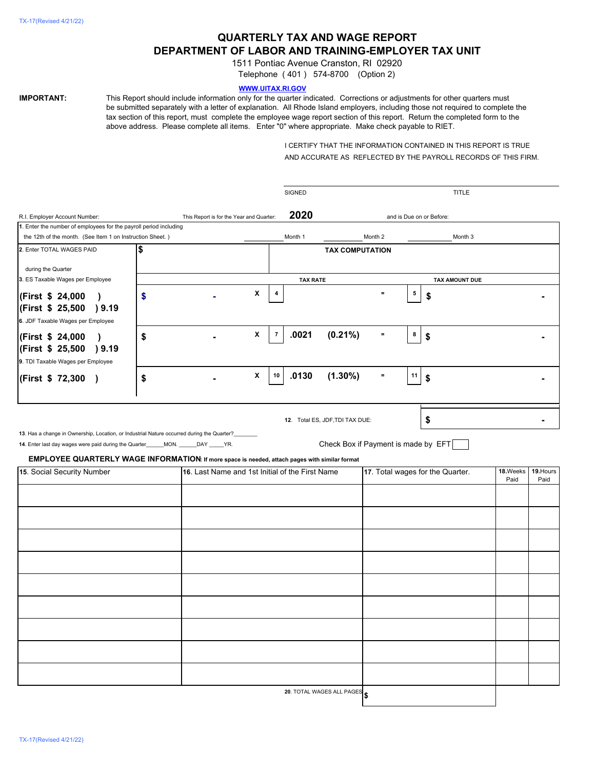# **QUARTERLY TAX AND WAGE REPORT DEPARTMENT OF LABOR AND TRAINING-EMPLOYER TAX UNIT**

1511 Pontiac Avenue Cranston, RI 02920

Telephone ( 401 ) 574-8700 (Option 2)

# **WWW.UITAX.RI.GOV**

**IMPORTANT:** This Report should include information only for the quarter indicated. Corrections or adjustments for other quarters must be submitted separately with a letter of explanation. All Rhode Island employers, including those not required to complete the tax section of this report, must complete the employee wage report section of this report. Return the completed form to the above address. Please complete all items. Enter "0" where appropriate. Make check payable to RIET.

> I CERTIFY THAT THE INFORMATION CONTAINED IN THIS REPORT IS TRUE AND ACCURATE AS REFLECTED BY THE PAYROLL RECORDS OF THIS FIRM.

|                                                                                                                                                                                                                                                                                 |                                          |                                                 |   | <b>SIGNED</b>   |                                                                        |          |                                  | TITLE                    |                   |   |
|---------------------------------------------------------------------------------------------------------------------------------------------------------------------------------------------------------------------------------------------------------------------------------|------------------------------------------|-------------------------------------------------|---|-----------------|------------------------------------------------------------------------|----------|----------------------------------|--------------------------|-------------------|---|
| R.I. Employer Account Number:                                                                                                                                                                                                                                                   | This Report is for the Year and Quarter: |                                                 |   | 2020            |                                                                        |          |                                  | and is Due on or Before: |                   |   |
| 1. Enter the number of employees for the payroll period including                                                                                                                                                                                                               |                                          |                                                 |   |                 |                                                                        |          |                                  |                          |                   |   |
| the 12th of the month. (See Item 1 on Instruction Sheet.)                                                                                                                                                                                                                       |                                          |                                                 |   | Month 1         |                                                                        | Month 2  |                                  | Month 3                  |                   |   |
| 2. Enter TOTAL WAGES PAID                                                                                                                                                                                                                                                       | \$                                       |                                                 |   |                 | <b>TAX COMPUTATION</b>                                                 |          |                                  |                          |                   |   |
| during the Quarter                                                                                                                                                                                                                                                              |                                          |                                                 |   |                 |                                                                        |          |                                  |                          |                   |   |
| 3. ES Taxable Wages per Employee                                                                                                                                                                                                                                                |                                          |                                                 |   | <b>TAX RATE</b> |                                                                        |          |                                  | TAX AMOUNT DUE           |                   |   |
| (First \$ 24,000<br>$\lambda$<br>(First \$ 25,500 ) 9.19                                                                                                                                                                                                                        | \$                                       |                                                 | X |                 |                                                                        | $\equiv$ | 5                                | \$                       |                   |   |
| 6. JDF Taxable Wages per Employee                                                                                                                                                                                                                                               |                                          |                                                 |   |                 |                                                                        |          |                                  |                          |                   |   |
| (First \$ 24,000<br>$\lambda$<br>(First \$ 25,500 ) 9.19<br>9. TDI Taxable Wages per Employee                                                                                                                                                                                   | \$                                       |                                                 | X | .0021<br>7      | $(0.21\%)$                                                             | $\equiv$ | 8                                | \$                       |                   |   |
| (First \$72,300)                                                                                                                                                                                                                                                                | \$                                       |                                                 | X | .0130<br>10     | $(1.30\%)$                                                             | $\equiv$ | 11                               | \$                       |                   |   |
| 13. Has a change in Ownership, Location, or Industrial Nature occurred during the Quarter?<br>14. Enter last day wages were paid during the Quarter_____MON. _____DAY ____YR.<br>EMPLOYEE QUARTERLY WAGE INFORMATION: If more space is needed, attach pages with similar format |                                          |                                                 |   |                 | 12. Total ES, JDF, TDI TAX DUE:<br>Check Box if Payment is made by EFT |          |                                  | \$                       |                   | ۰ |
| 15. Social Security Number                                                                                                                                                                                                                                                      |                                          | 16. Last Name and 1st Initial of the First Name |   |                 |                                                                        |          | 17. Total wages for the Quarter. | 18.Weeks<br>Paid         | 19. Hours<br>Paid |   |
|                                                                                                                                                                                                                                                                                 |                                          |                                                 |   |                 |                                                                        |          |                                  |                          |                   |   |
|                                                                                                                                                                                                                                                                                 |                                          |                                                 |   |                 |                                                                        |          |                                  |                          |                   |   |
|                                                                                                                                                                                                                                                                                 |                                          |                                                 |   |                 |                                                                        |          |                                  |                          |                   |   |
|                                                                                                                                                                                                                                                                                 |                                          |                                                 |   |                 |                                                                        |          |                                  |                          |                   |   |
|                                                                                                                                                                                                                                                                                 |                                          |                                                 |   |                 |                                                                        |          |                                  |                          |                   |   |
|                                                                                                                                                                                                                                                                                 |                                          |                                                 |   |                 |                                                                        |          |                                  |                          |                   |   |
|                                                                                                                                                                                                                                                                                 |                                          |                                                 |   |                 |                                                                        |          |                                  |                          |                   |   |
|                                                                                                                                                                                                                                                                                 |                                          |                                                 |   |                 |                                                                        |          |                                  |                          |                   |   |
|                                                                                                                                                                                                                                                                                 |                                          |                                                 |   |                 |                                                                        |          |                                  |                          |                   |   |
|                                                                                                                                                                                                                                                                                 |                                          |                                                 |   |                 |                                                                        |          |                                  |                          |                   |   |
|                                                                                                                                                                                                                                                                                 |                                          |                                                 |   |                 |                                                                        |          |                                  |                          |                   |   |